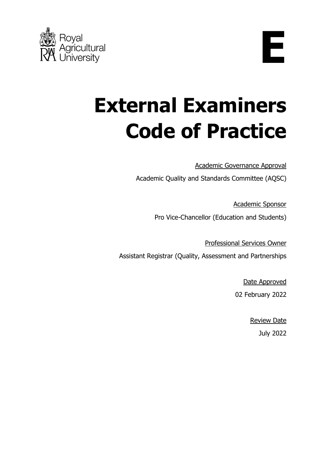

**E**

# **External Examiners Code of Practice**

Academic Governance Approval

Academic Quality and Standards Committee (AQSC)

Academic Sponsor Pro Vice-Chancellor (Education and Students)

Professional Services Owner Assistant Registrar (Quality, Assessment and Partnerships

> Date Approved 02 February 2022

> > Review Date July 2022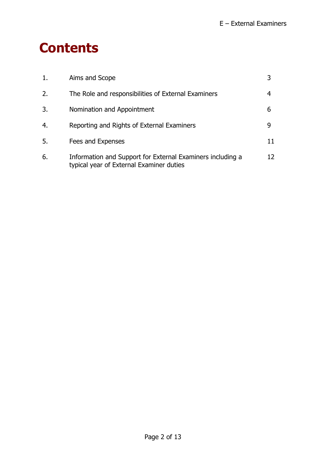### **Contents**

| 1. | Aims and Scope                                                                                         |    |
|----|--------------------------------------------------------------------------------------------------------|----|
| 2. | The Role and responsibilities of External Examiners                                                    | 4  |
| 3. | Nomination and Appointment                                                                             | 6  |
| 4. | Reporting and Rights of External Examiners                                                             | 9  |
| 5. | Fees and Expenses                                                                                      | 11 |
| 6. | Information and Support for External Examiners including a<br>typical year of External Examiner duties | 12 |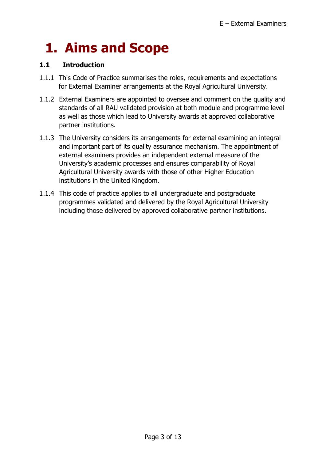# **1. Aims and Scope**

### **1.1 Introduction**

- 1.1.1 This Code of Practice summarises the roles, requirements and expectations for External Examiner arrangements at the Royal Agricultural University.
- 1.1.2 External Examiners are appointed to oversee and comment on the quality and standards of all RAU validated provision at both module and programme level as well as those which lead to University awards at approved collaborative partner institutions.
- 1.1.3 The University considers its arrangements for external examining an integral and important part of its quality assurance mechanism. The appointment of external examiners provides an independent external measure of the University's academic processes and ensures comparability of Royal Agricultural University awards with those of other Higher Education institutions in the United Kingdom.
- 1.1.4 This code of practice applies to all undergraduate and postgraduate programmes validated and delivered by the Royal Agricultural University including those delivered by approved collaborative partner institutions.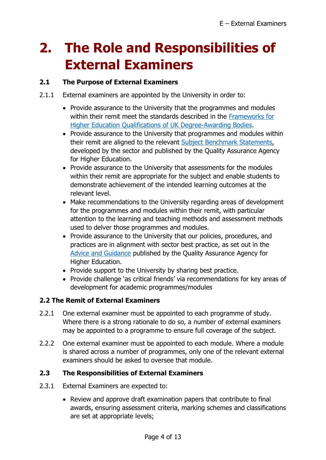# **2. The Role and Responsibilities of External Examiners**

### **2.1 The Purpose of External Examiners**

- 2.1.1 External examiners are appointed by the University in order to:
	- Provide assurance to the University that the programmes and modules within their remit meet the standards described in the [Frameworks for](https://www.qaa.ac.uk/en/quality-code/qualifications-frameworks)  [Higher Education Qualifications of UK Degree-Awarding Bodies.](https://www.qaa.ac.uk/en/quality-code/qualifications-frameworks)
	- Provide assurance to the University that programmes and modules within their remit are aligned to the relevant [Subject Benchmark Statements,](https://www.qaa.ac.uk/en/quality-code/subject-benchmark-statements) developed by the sector and published by the Quality Assurance Agency for Higher Education.
	- Provide assurance to the University that assessments for the modules within their remit are appropriate for the subject and enable students to demonstrate achievement of the intended learning outcomes at the relevant level.
	- Make recommendations to the University regarding areas of development for the programmes and modules within their remit, with particular attention to the learning and teaching methods and assessment methods used to delver those programmes and modules.
	- Provide assurance to the University that our policies, procedures, and practices are in alignment with sector best practice, as set out in the [Advice and Guidance](https://www.qaa.ac.uk/quality-code/advice-and-guidance) published by the Quality Assurance Agency for Higher Education.
	- Provide support to the University by sharing best practice.
	- Provide challenge 'as critical friends' via recommendations for key areas of development for academic programmes/modules

### **2.2 The Remit of External Examiners**

- 2.2.1 One external examiner must be appointed to each programme of study. Where there is a strong rationale to do so, a number of external examiners may be appointed to a programme to ensure full coverage of the subject.
- 2.2.2 One external examiner must be appointed to each module. Where a module is shared across a number of programmes, only one of the relevant external examiners should be asked to oversee that module.

### **2.3 The Responsibilities of External Examiners**

- 2.3.1 External Examiners are expected to:
	- Review and approve draft examination papers that contribute to final awards, ensuring assessment criteria, marking schemes and classifications are set at appropriate levels;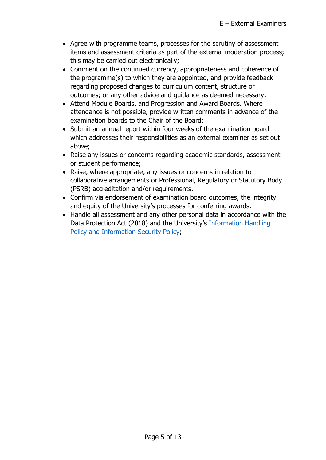- Agree with programme teams, processes for the scrutiny of assessment items and assessment criteria as part of the external moderation process; this may be carried out electronically;
- Comment on the continued currency, appropriateness and coherence of the programme(s) to which they are appointed, and provide feedback regarding proposed changes to curriculum content, structure or outcomes; or any other advice and guidance as deemed necessary;
- Attend Module Boards, and Progression and Award Boards. Where attendance is not possible, provide written comments in advance of the examination boards to the Chair of the Board;
- Submit an annual report within four weeks of the examination board which addresses their responsibilities as an external examiner as set out above;
- Raise any issues or concerns regarding academic standards, assessment or student performance;
- Raise, where appropriate, any issues or concerns in relation to collaborative arrangements or Professional, Regulatory or Statutory Body (PSRB) accreditation and/or requirements.
- Confirm via endorsement of examination board outcomes, the integrity and equity of the University's processes for conferring awards.
- Handle all assessment and any other personal data in accordance with the Data Protection Act (2018) and the University's [Information Handling](https://intranet.rau.ac.uk/DepartmentsSchools/IT_Services/Pages/Policies.aspx)  [Policy and Information Security Policy;](https://intranet.rau.ac.uk/DepartmentsSchools/IT_Services/Pages/Policies.aspx)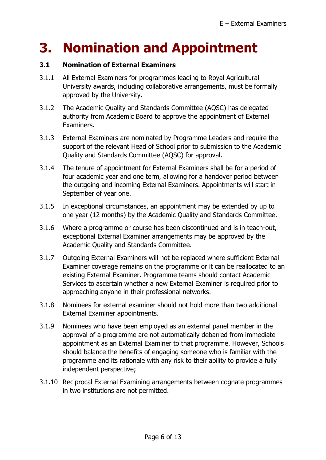### **3. Nomination and Appointment**

### **3.1 Nomination of External Examiners**

- 3.1.1 All External Examiners for programmes leading to Royal Agricultural University awards, including collaborative arrangements, must be formally approved by the University.
- 3.1.2 The Academic Quality and Standards Committee (AQSC) has delegated authority from Academic Board to approve the appointment of External Examiners.
- 3.1.3 External Examiners are nominated by Programme Leaders and require the support of the relevant Head of School prior to submission to the Academic Quality and Standards Committee (AQSC) for approval.
- 3.1.4 The tenure of appointment for External Examiners shall be for a period of four academic year and one term, allowing for a handover period between the outgoing and incoming External Examiners. Appointments will start in September of year one.
- 3.1.5 In exceptional circumstances, an appointment may be extended by up to one year (12 months) by the Academic Quality and Standards Committee.
- 3.1.6 Where a programme or course has been discontinued and is in teach-out, exceptional External Examiner arrangements may be approved by the Academic Quality and Standards Committee.
- 3.1.7 Outgoing External Examiners will not be replaced where sufficient External Examiner coverage remains on the programme or it can be reallocated to an existing External Examiner. Programme teams should contact Academic Services to ascertain whether a new External Examiner is required prior to approaching anyone in their professional networks.
- 3.1.8 Nominees for external examiner should not hold more than two additional External Examiner appointments.
- 3.1.9 Nominees who have been employed as an external panel member in the approval of a programme are not automatically debarred from immediate appointment as an External Examiner to that programme. However, Schools should balance the benefits of engaging someone who is familiar with the programme and its rationale with any risk to their ability to provide a fully independent perspective;
- 3.1.10 Reciprocal External Examining arrangements between cognate programmes in two institutions are not permitted.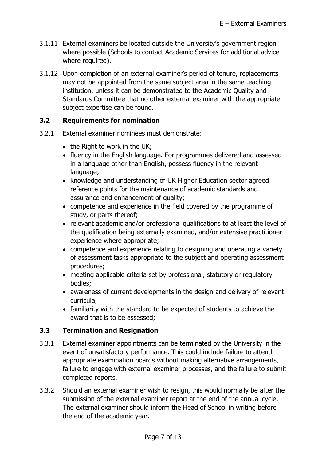- 3.1.11 External examiners be located outside the University's government region where possible (Schools to contact Academic Services for additional advice where required).
- 3.1.12 Upon completion of an external examiner's period of tenure, replacements may not be appointed from the same subject area in the same teaching institution, unless it can be demonstrated to the Academic Quality and Standards Committee that no other external examiner with the appropriate subject expertise can be found.

#### **3.2 Requirements for nomination**

- 3.2.1 External examiner nominees must demonstrate:
	- the Right to work in the UK:
	- fluency in the English language. For programmes delivered and assessed in a language other than English, possess fluency in the relevant language;
	- knowledge and understanding of UK Higher Education sector agreed reference points for the maintenance of academic standards and assurance and enhancement of quality;
	- competence and experience in the field covered by the programme of study, or parts thereof;
	- relevant academic and/or professional qualifications to at least the level of the qualification being externally examined, and/or extensive practitioner experience where appropriate;
	- competence and experience relating to designing and operating a variety of assessment tasks appropriate to the subject and operating assessment procedures;
	- meeting applicable criteria set by professional, statutory or regulatory bodies;
	- awareness of current developments in the design and delivery of relevant curricula;
	- familiarity with the standard to be expected of students to achieve the award that is to be assessed;

### **3.3 Termination and Resignation**

- 3.3.1 External examiner appointments can be terminated by the University in the event of unsatisfactory performance. This could include failure to attend appropriate examination boards without making alternative arrangements, failure to engage with external examiner processes, and the failure to submit completed reports.
- 3.3.2 Should an external examiner wish to resign, this would normally be after the submission of the external examiner report at the end of the annual cycle. The external examiner should inform the Head of School in writing before the end of the academic year.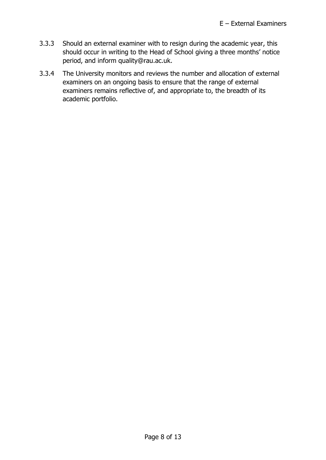- 3.3.3 Should an external examiner with to resign during the academic year, this should occur in writing to the Head of School giving a three months' notice period, and inform quality@rau.ac.uk.
- 3.3.4 The University monitors and reviews the number and allocation of external examiners on an ongoing basis to ensure that the range of external examiners remains reflective of, and appropriate to, the breadth of its academic portfolio.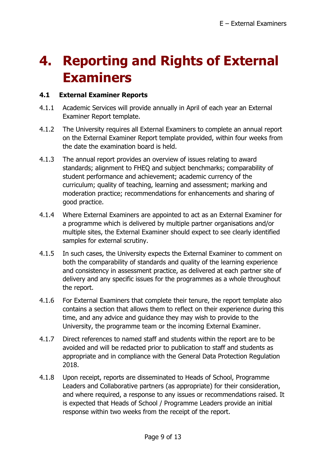### **4. Reporting and Rights of External Examiners**

### **4.1 External Examiner Reports**

- 4.1.1 Academic Services will provide annually in April of each year an External Examiner Report template.
- 4.1.2 The University requires all External Examiners to complete an annual report on the External Examiner Report template provided, within four weeks from the date the examination board is held.
- 4.1.3 The annual report provides an overview of issues relating to award standards; alignment to FHEQ and subject benchmarks; comparability of student performance and achievement; academic currency of the curriculum; quality of teaching, learning and assessment; marking and moderation practice; recommendations for enhancements and sharing of good practice.
- 4.1.4 Where External Examiners are appointed to act as an External Examiner for a programme which is delivered by multiple partner organisations and/or multiple sites, the External Examiner should expect to see clearly identified samples for external scrutiny.
- 4.1.5 In such cases, the University expects the External Examiner to comment on both the comparability of standards and quality of the learning experience and consistency in assessment practice, as delivered at each partner site of delivery and any specific issues for the programmes as a whole throughout the report.
- 4.1.6 For External Examiners that complete their tenure, the report template also contains a section that allows them to reflect on their experience during this time, and any advice and guidance they may wish to provide to the University, the programme team or the incoming External Examiner.
- 4.1.7 Direct references to named staff and students within the report are to be avoided and will be redacted prior to publication to staff and students as appropriate and in compliance with the General Data Protection Regulation 2018.
- 4.1.8 Upon receipt, reports are disseminated to Heads of School, Programme Leaders and Collaborative partners (as appropriate) for their consideration, and where required, a response to any issues or recommendations raised. It is expected that Heads of School / Programme Leaders provide an initial response within two weeks from the receipt of the report.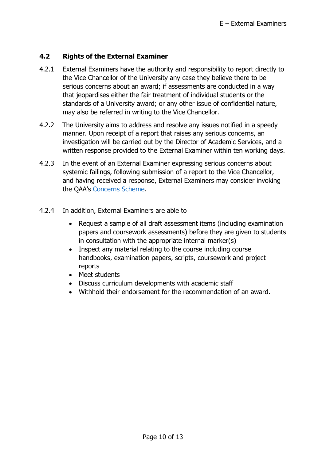### **4.2 Rights of the External Examiner**

- 4.2.1 External Examiners have the authority and responsibility to report directly to the Vice Chancellor of the University any case they believe there to be serious concerns about an award; if assessments are conducted in a way that jeopardises either the fair treatment of individual students or the standards of a University award; or any other issue of confidential nature, may also be referred in writing to the Vice Chancellor.
- 4.2.2 The University aims to address and resolve any issues notified in a speedy manner. Upon receipt of a report that raises any serious concerns, an investigation will be carried out by the Director of Academic Services, and a written response provided to the External Examiner within ten working days.
- 4.2.3 In the event of an External Examiner expressing serious concerns about systemic failings, following submission of a report to the Vice Chancellor, and having received a response, External Examiners may consider invoking the QAA's [Concerns Scheme.](https://www.qaa.ac.uk/search-results?indexCatalogue=global&searchQuery=QAA%20Concerns%20Scheme%3A%20How%20to%20raise&wordsMode=AllWords)
- 4.2.4 In addition, External Examiners are able to
	- Request a sample of all draft assessment items (including examination papers and coursework assessments) before they are given to students in consultation with the appropriate internal marker(s)
	- Inspect any material relating to the course including course handbooks, examination papers, scripts, coursework and project reports
	- Meet students
	- Discuss curriculum developments with academic staff
	- Withhold their endorsement for the recommendation of an award.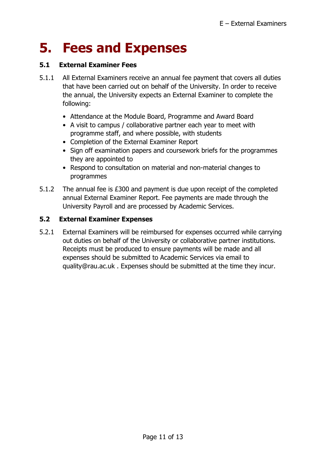### **5. Fees and Expenses**

### **5.1 External Examiner Fees**

- 5.1.1 All External Examiners receive an annual fee payment that covers all duties that have been carried out on behalf of the University. In order to receive the annual, the University expects an External Examiner to complete the following:
	- Attendance at the Module Board, Programme and Award Board
	- A visit to campus / collaborative partner each year to meet with programme staff, and where possible, with students
	- Completion of the External Examiner Report
	- Sign off examination papers and coursework briefs for the programmes they are appointed to
	- Respond to consultation on material and non-material changes to programmes
- 5.1.2 The annual fee is £300 and payment is due upon receipt of the completed annual External Examiner Report. Fee payments are made through the University Payroll and are processed by Academic Services.

### **5.2 External Examiner Expenses**

5.2.1 External Examiners will be reimbursed for expenses occurred while carrying out duties on behalf of the University or collaborative partner institutions. Receipts must be produced to ensure payments will be made and all expenses should be submitted to Academic Services via email to quality@rau.ac.uk . Expenses should be submitted at the time they incur.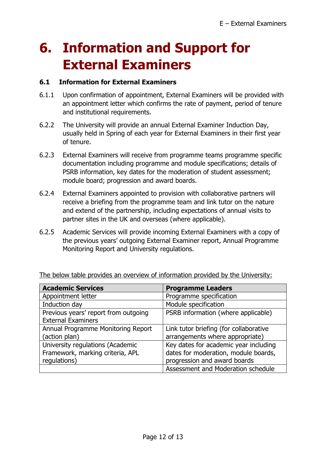# **6. Information and Support for External Examiners**

### **6.1 Information for External Examiners**

- 6.1.1 Upon confirmation of appointment, External Examiners will be provided with an appointment letter which confirms the rate of payment, period of tenure and institutional requirements.
- 6.2.2 The University will provide an annual External Examiner Induction Day, usually held in Spring of each year for External Examiners in their first year of tenure.
- 6.2.3 External Examiners will receive from programme teams programme specific documentation including programme and module specifications; details of PSRB information, key dates for the moderation of student assessment; module board; progression and award boards.
- 6.2.4 External Examiners appointed to provision with collaborative partners will receive a briefing from the programme team and link tutor on the nature and extend of the partnership, including expectations of annual visits to partner sites in the UK and overseas (where applicable).
- 6.2.5 Academic Services will provide incoming External Examiners with a copy of the previous years' outgoing External Examiner report, Annual Programme Monitoring Report and University regulations.

| <b>Academic Services</b>             | <b>Programme Leaders</b>               |  |
|--------------------------------------|----------------------------------------|--|
| Appointment letter                   | Programme specification                |  |
| Induction day                        | Module specification                   |  |
| Previous years' report from outgoing | PSRB information (where applicable)    |  |
| <b>External Examiners</b>            |                                        |  |
| Annual Programme Monitoring Report   | Link tutor briefing (for collaborative |  |
| (action plan)                        | arrangements where appropriate)        |  |
| University regulations (Academic     | Key dates for academic year including  |  |
| Framework, marking criteria, APL     | dates for moderation, module boards,   |  |
| regulations)                         | progression and award boards           |  |
|                                      | Assessment and Moderation schedule     |  |

The below table provides an overview of information provided by the University: